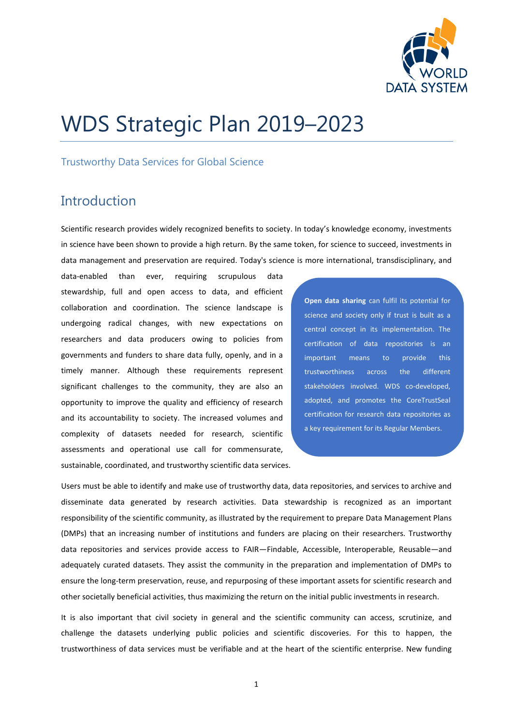

# WDS Strategic Plan 2019–2023

#### Trustworthy Data Services for Global Science

### **Introduction**

Scientific research provides widely recognized benefits to society. In today's knowledge economy, investments in science have been shown to provide a high return. By the same token, for science to succeed, investments in data management and preservation are required. Today's science is more international, transdisciplinary, and

data-enabled than ever, requiring scrupulous data stewardship, full and open access to data, and efficient collaboration and coordination. The science landscape is undergoing radical changes, with new expectations on researchers and data producers owing to policies from governments and funders to share data fully, openly, and in a timely manner. Although these requirements represent significant challenges to the community, they are also an opportunity to improve the quality and efficiency of research and its accountability to society. The increased volumes and complexity of datasets needed for research, scientific assessments and operational use call for commensurate, sustainable, coordinated, and trustworthy scientific data services.

**Open data sharing** can fulfil its potential for science and society only if trust is built as a central concept in its implementation. The certification of data repositories is an important means to provide this trustworthiness across the different stakeholders involved. WDS co-developed, adopted, and promotes the CoreTrustSeal certification for research data repositories as a key requirement for its Regular Members.

Users must be able to identify and make use of trustworthy data, data repositories, and services to archive and disseminate data generated by research activities. Data stewardship is recognized as an important responsibility of the scientific community, as illustrated by the requirement to prepare Data Management Plans (DMPs) that an increasing number of institutions and funders are placing on their researchers. Trustworthy data repositories and services provide access to FAIR—Findable, Accessible, Interoperable, Reusable—and adequately curated datasets. They assist the community in the preparation and implementation of DMPs to ensure the long-term preservation, reuse, and repurposing of these important assets for scientific research and other societally beneficial activities, thus maximizing the return on the initial public investments in research.

It is also important that civil society in general and the scientific community can access, scrutinize, and challenge the datasets underlying public policies and scientific discoveries. For this to happen, the trustworthiness of data services must be verifiable and at the heart of the scientific enterprise. New funding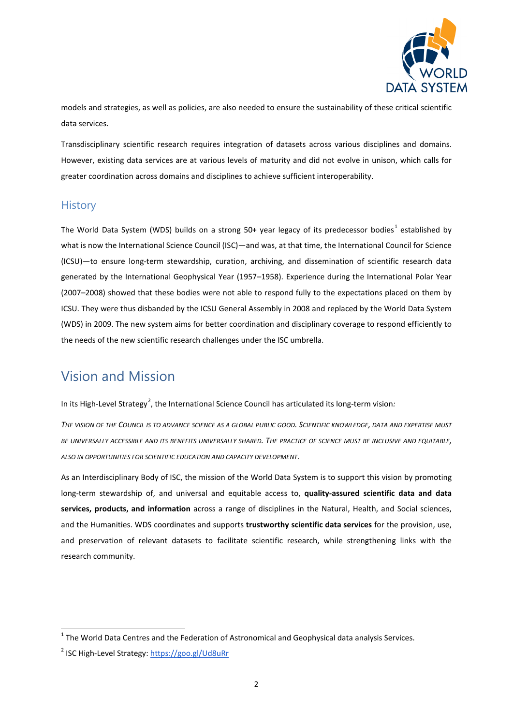

models and strategies, as well as policies, are also needed to ensure the sustainability of these critical scientific data services.

Transdisciplinary scientific research requires integration of datasets across various disciplines and domains. However, existing data services are at various levels of maturity and did not evolve in unison, which calls for greater coordination across domains and disciplines to achieve sufficient interoperability.

#### **History**

The World Data System (WDS) builds on a strong 50+ year legacy of its predecessor bodies<sup>[1](#page-1-0)</sup> established bv what is now the International Science Council (ISC)—and was, at that time, the International Council for Science (ICSU)—to ensure long-term stewardship, curation, archiving, and dissemination of scientific research data generated by the International Geophysical Year (1957–1958). Experience during the International Polar Year (2007–2008) showed that these bodies were not able to respond fully to the expectations placed on them by ICSU. They were thus disbanded by the ICSU General Assembly in 2008 and replaced by the World Data System (WDS) in 2009. The new system aims for better coordination and disciplinary coverage to respond efficiently to the needs of the new scientific research challenges under the ISC umbrella.

### Vision and Mission

In its High-Level Strategy<sup>[2](#page-1-1)</sup>, the International Science Council has articulated its long-term vision*:* 

*THE VISION OF THE COUNCIL IS TO ADVANCE SCIENCE AS A GLOBAL PUBLIC GOOD. SCIENTIFIC KNOWLEDGE, DATA AND EXPERTISE MUST BE UNIVERSALLY ACCESSIBLE AND ITS BENEFITS UNIVERSALLY SHARED. THE PRACTICE OF SCIENCE MUST BE INCLUSIVE AND EQUITABLE, ALSO IN OPPORTUNITIES FOR SCIENTIFIC EDUCATION AND CAPACITY DEVELOPMENT.*

As an Interdisciplinary Body of ISC, the mission of the World Data System is to support this vision by promoting long-term stewardship of, and universal and equitable access to, **quality-assured scientific data and data services, products, and information** across a range of disciplines in the Natural, Health, and Social sciences, and the Humanities. WDS coordinates and supports **trustworthy scientific data services** for the provision, use, and preservation of relevant datasets to facilitate scientific research, while strengthening links with the research community.

<span id="page-1-0"></span> $1$  The World Data Centres and the Federation of Astronomical and Geophysical data analysis Services.

<span id="page-1-1"></span><sup>&</sup>lt;sup>2</sup> ISC High-Level Strategy[: https://goo.gl/Ud8uRr](https://goo.gl/Ud8uRr)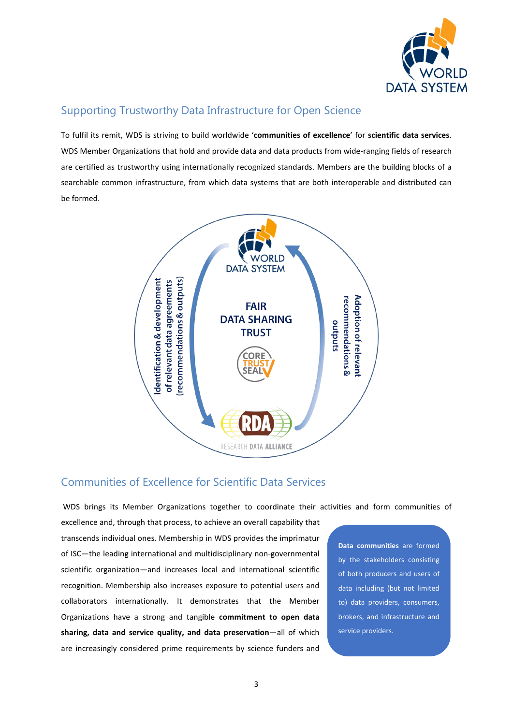

#### Supporting Trustworthy Data Infrastructure for Open Science

To fulfil its remit, WDS is striving to build worldwide '**communities of excellence**' for **scientific data services**. WDS Member Organizations that hold and provide data and data products from wide-ranging fields of research are certified as trustworthy using internationally recognized standards. Members are the building blocks of a searchable common infrastructure, from which data systems that are both interoperable and distributed can be formed.



#### Communities of Excellence for Scientific Data Services

WDS brings its Member Organizations together to coordinate their activities and form communities of

excellence and, through that process, to achieve an overall capability that transcends individual ones. Membership in WDS provides the imprimatur of ISC—the leading international and multidisciplinary non-governmental scientific organization—and increases local and international scientific recognition. Membership also increases exposure to potential users and collaborators internationally. It demonstrates that the Member Organizations have a strong and tangible **commitment to open data sharing, data and service quality, and data preservation**—all of which are increasingly considered prime requirements by science funders and

**Data communities** are formed by the stakeholders consisting of both producers and users of data including (but not limited to) data providers, consumers, brokers, and infrastructure and service providers.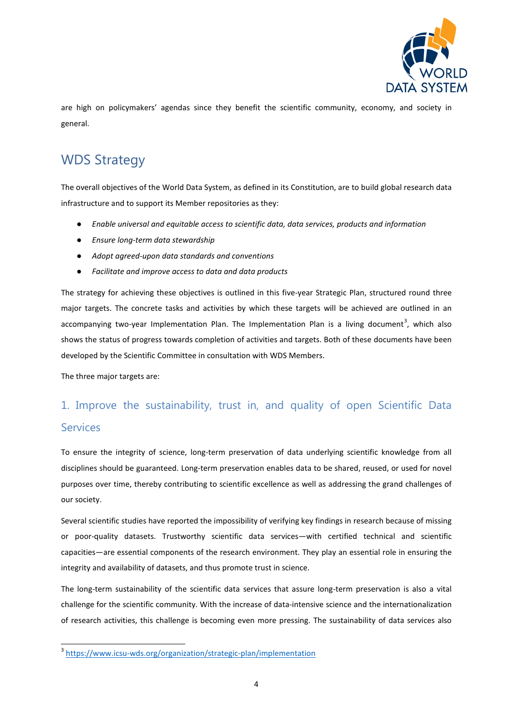

are high on policymakers' agendas since they benefit the scientific community, economy, and society in general.

# WDS Strategy

The overall objectives of the World Data System, as defined in its Constitution, are to build global research data infrastructure and to support its Member repositories as they:

- *Enable universal and equitable access to scientific data, data services, products and information*
- *Ensure long-term data stewardship*
- *Adopt agreed-upon data standards and conventions*
- *Facilitate and improve access to data and data products*

The strategy for achieving these objectives is outlined in this five-year Strategic Plan, structured round three major targets. The concrete tasks and activities by which these targets will be achieved are outlined in an accompanying two-year Implementation Plan. The Implementation Plan is a living document<sup>[3](#page-3-0)</sup>, which also shows the status of progress towards completion of activities and targets. Both of these documents have been developed by the Scientific Committee in consultation with WDS Members.

The three major targets are:

# 1. Improve the sustainability, trust in, and quality of open Scientific Data **Services**

To ensure the integrity of science, long-term preservation of data underlying scientific knowledge from all disciplines should be guaranteed. Long-term preservation enables data to be shared, reused, or used for novel purposes over time, thereby contributing to scientific excellence as well as addressing the grand challenges of our society.

Several scientific studies have reported the impossibility of verifying key findings in research because of missing or poor-quality datasets. Trustworthy scientific data services—with certified technical and scientific capacities—are essential components of the research environment. They play an essential role in ensuring the integrity and availability of datasets, and thus promote trust in science.

The long-term sustainability of the scientific data services that assure long-term preservation is also a vital challenge for the scientific community. With the increase of data-intensive science and the internationalization of research activities, this challenge is becoming even more pressing. The sustainability of data services also

<span id="page-3-0"></span> <sup>3</sup> <https://www.icsu-wds.org/organization/strategic-plan/implementation>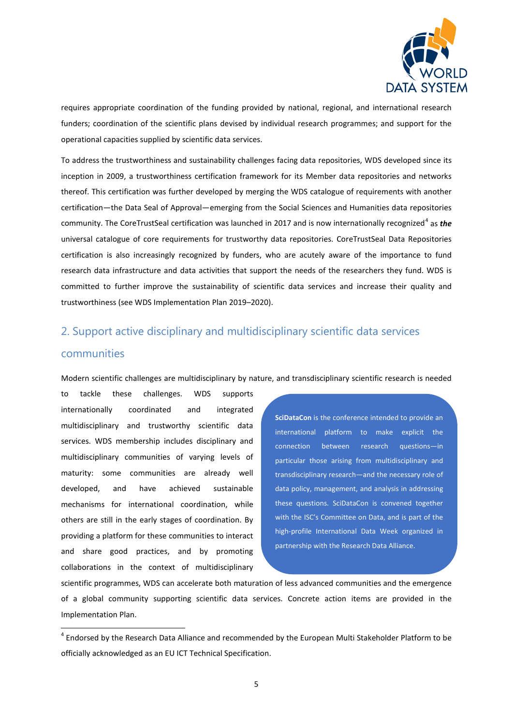

requires appropriate coordination of the funding provided by national, regional, and international research funders; coordination of the scientific plans devised by individual research programmes; and support for the operational capacities supplied by scientific data services.

To address the trustworthiness and sustainability challenges facing data repositories, WDS developed since its inception in 2009, a trustworthiness certification framework for its Member data repositories and networks thereof. This certification was further developed by merging the WDS catalogue of requirements with another certification—the Data Seal of Approval—emerging from the Social Sciences and Humanities data repositories community. The CoreTrustSeal certification was launched in 2017 and is now internationally recognized<sup>[4](#page-4-0)</sup> as *the* universal catalogue of core requirements for trustworthy data repositories. CoreTrustSeal Data Repositories certification is also increasingly recognized by funders, who are acutely aware of the importance to fund research data infrastructure and data activities that support the needs of the researchers they fund. WDS is committed to further improve the sustainability of scientific data services and increase their quality and trustworthiness (see WDS Implementation Plan 2019–2020).

## 2. Support active disciplinary and multidisciplinary scientific data services communities

Modern scientific challenges are multidisciplinary by nature, and transdisciplinary scientific research is needed

to tackle these challenges. WDS supports internationally coordinated and integrated multidisciplinary and trustworthy scientific data services. WDS membership includes disciplinary and multidisciplinary communities of varying levels of maturity: some communities are already well developed, and have achieved sustainable mechanisms for international coordination, while others are still in the early stages of coordination. By providing a platform for these communities to interact and share good practices, and by promoting collaborations in the context of multidisciplinary

**SciDataCon** is the conference intended to provide an international platform to make explicit the connection between research questions—in particular those arising from multidisciplinary and transdisciplinary research—and the necessary role of data policy, management, and analysis in addressing these questions. SciDataCon is convened together with the ISC's Committee on Data, and is part of the high-profile International Data Week organized in partnership with the Research Data Alliance.

scientific programmes, WDS can accelerate both maturation of less advanced communities and the emergence of a global community supporting scientific data services. Concrete action items are provided in the Implementation Plan.

<span id="page-4-0"></span><sup>&</sup>lt;sup>4</sup> Endorsed by the Research Data Alliance and recommended by the European Multi Stakeholder Platform to be officially acknowledged as an EU ICT Technical Specification.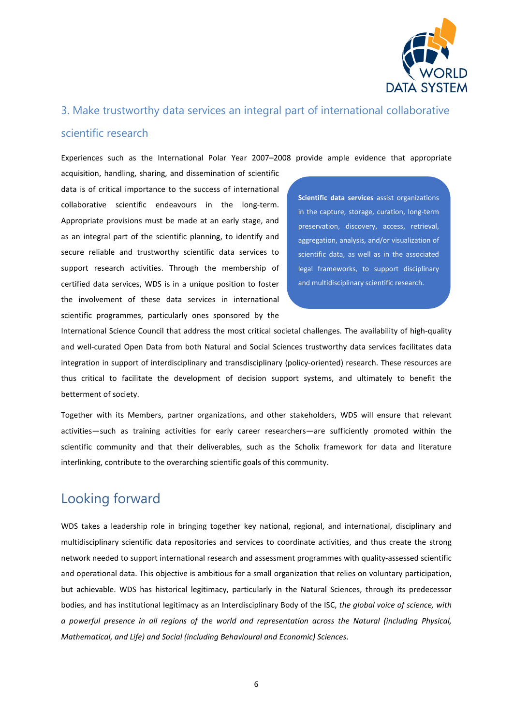

#### 3. Make trustworthy data services an integral part of international collaborative

#### scientific research

Experiences such as the International Polar Year 2007–2008 provide ample evidence that appropriate

acquisition, handling, sharing, and dissemination of scientific data is of critical importance to the success of international collaborative scientific endeavours in the long-term. Appropriate provisions must be made at an early stage, and as an integral part of the scientific planning, to identify and secure reliable and trustworthy scientific data services to support research activities. Through the membership of certified data services, WDS is in a unique position to foster the involvement of these data services in international scientific programmes, particularly ones sponsored by the

**Scientific data services** assist organizations in the capture, storage, curation, long-term preservation, discovery, access, retrieval, aggregation, analysis, and/or visualization of scientific data, as well as in the associated legal frameworks, to support disciplinary and multidisciplinary scientific research.

International Science Council that address the most critical societal challenges. The availability of high-quality and well-curated Open Data from both Natural and Social Sciences trustworthy data services facilitates data integration in support of interdisciplinary and transdisciplinary (policy-oriented) research. These resources are thus critical to facilitate the development of decision support systems, and ultimately to benefit the betterment of society.

Together with its Members, partner organizations, and other stakeholders, WDS will ensure that relevant activities—such as training activities for early career researchers—are sufficiently promoted within the scientific community and that their deliverables, such as the Scholix framework for data and literature interlinking, contribute to the overarching scientific goals of this community.

### Looking forward

WDS takes a leadership role in bringing together key national, regional, and international, disciplinary and multidisciplinary scientific data repositories and services to coordinate activities, and thus create the strong network needed to support international research and assessment programmes with quality-assessed scientific and operational data. This objective is ambitious for a small organization that relies on voluntary participation, but achievable. WDS has historical legitimacy, particularly in the Natural Sciences, through its predecessor bodies, and has institutional legitimacy as an Interdisciplinary Body of the ISC, *the global voice of science, with a powerful presence in all regions of the world and representation across the Natural (including Physical, Mathematical, and Life) and Social (including Behavioural and Economic) Sciences*.